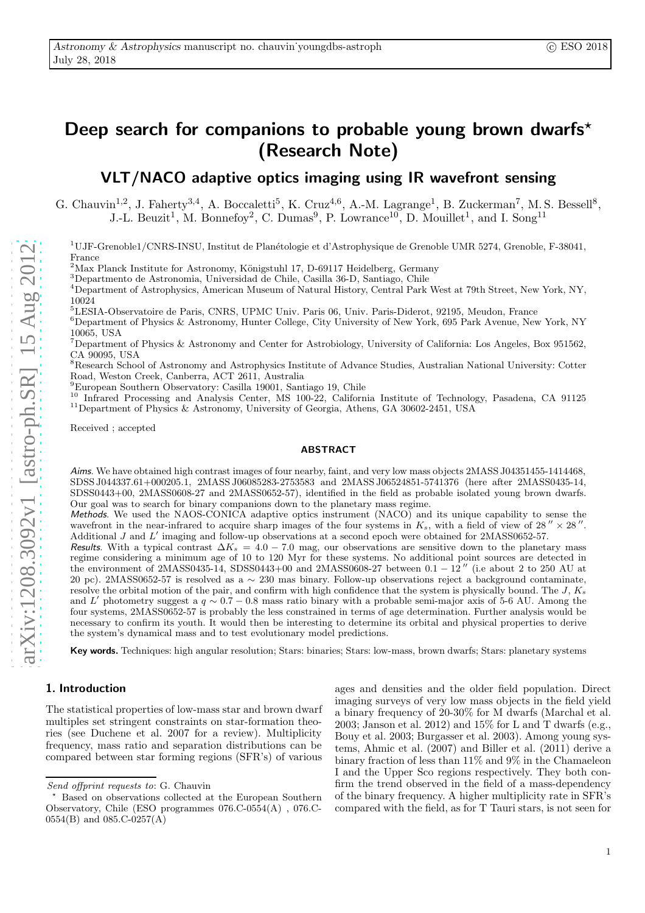# Deep search for companions to probable young brown dwarfs\* (Research Note)

# VLT/NACO adaptive optics imaging using IR wavefront sensing

G. Chauvin<sup>1,2</sup>, J. Faherty<sup>3,4</sup>, A. Boccaletti<sup>5</sup>, K. Cruz<sup>4,6</sup>, A.-M. Lagrange<sup>1</sup>, B. Zuckerman<sup>7</sup>, M. S. Bessell<sup>8</sup>, J.-L. Beuzit<sup>1</sup>, M. Bonnefoy<sup>2</sup>, C. Dumas<sup>9</sup>, P. Lowrance<sup>10</sup>, D. Mouillet<sup>1</sup>, and I. Song<sup>11</sup>

 $1^1$ UJF-Grenoble $1/CNRS$ -INSU, Institut de Planétologie et d'Astrophysique de Grenoble UMR 5274, Grenoble, F-38041, France

<sup>2</sup>Max Planck Institute for Astronomy, Königstuhl 17, D-69117 Heidelberg, Germany

 ${}^{3}$ Departmento de Astronomia, Universidad de Chile, Casilla 36-D, Santiago, Chile

<sup>4</sup>Department of Astrophysics, American Museum of Natural History, Central Park West at 79th Street, New York, NY, 10024

<sup>5</sup>LESIA-Observatoire de Paris, CNRS, UPMC Univ. Paris 06, Univ. Paris-Diderot, 92195, Meudon, France

<sup>6</sup>Department of Physics & Astronomy, Hunter College, City University of New York, 695 Park Avenue, New York, NY 10065, USA

<sup>7</sup>Department of Physics & Astronomy and Center for Astrobiology, University of California: Los Angeles, Box 951562, CA 90095, USA

<sup>8</sup>Research School of Astronomy and Astrophysics Institute of Advance Studies, Australian National University: Cotter Road, Weston Creek, Canberra, ACT 2611, Australia

<sup>9</sup>European Southern Observatory: Casilla 19001, Santiago 19, Chile

<sup>10</sup> Infrared Processing and Analysis Center, MS 100-22, California Institute of Technology, Pasadena, CA 91125 <sup>11</sup>Department of Physics & Astronomy, University of Georgia, Athens, GA 30602-2451, USA

Received ; accepted

#### ABSTRACT

Aims. We have obtained high contrast images of four nearby, faint, and very low mass objects 2MASS J04351455-1414468, SDSS J044337.61+000205.1, 2MASS J06085283-2753583 and 2MASS J06524851-5741376 (here after 2MASS0435-14, SDSS0443+00, 2MASS0608-27 and 2MASS0652-57), identified in the field as probable isolated young brown dwarfs. Our goal was to search for binary companions down to the planetary mass regime.

Methods. We used the NAOS-CONICA adaptive optics instrument (NACO) and its unique capability to sense the wavefront in the near-infrared to acquire sharp images of the four systems in  $K_s$ , with a field of view of 28"  $\times$  28". Additional J and L' imaging and follow-up observations at a second epoch were obtained for 2MASS0652-57.

Results. With a typical contrast  $\Delta K_s = 4.0 - 7.0$  mag, our observations are sensitive down to the planetary mass regime considering a minimum age of 10 to 120 Myr for these systems. No additional point sources are detected in the environment of 2MASS0435-14, SDSS0443+00 and 2MASS0608-27 between  $0.1 - 12$  " (i.e about 2 to 250 AU at 20 pc). 2MASS0652-57 is resolved as a ∼ 230 mas binary. Follow-up observations reject a background contaminate, resolve the orbital motion of the pair, and confirm with high confidence that the system is physically bound. The J,  $K_s$ and L' photometry suggest a  $q \sim 0.7 - 0.8$  mass ratio binary with a probable semi-major axis of 5-6 AU. Among the four systems, 2MASS0652-57 is probably the less constrained in terms of age determination. Further analysis would be necessary to confirm its youth. It would then be interesting to determine its orbital and physical properties to derive the system's dynamical mass and to test evolutionary model predictions.

Key words. Techniques: high angular resolution; Stars: binaries; Stars: low-mass, brown dwarfs; Stars: planetary systems

## 1. Introduction

The statistical properties of low-mass star and brown dwarf multiples set stringent constraints on star-formation theories (see Duchene et al. 2007 for a review). Multiplicity frequency, mass ratio and separation distributions can be compared between star forming regions (SFR's) of various ages and densities and the older field population. Direct imaging surveys of very low mass objects in the field yield a binary frequency of 20-30% for M dwarfs (Marchal et al. 2003; Janson et al. 2012) and  $15\%$  for L and T dwarfs (e.g., Bouy et al. 2003; Burgasser et al. 2003). Among young systems, Ahmic et al. (2007) and Biller et al. (2011) derive a binary fraction of less than 11% and 9% in the Chamaeleon I and the Upper Sco regions respectively. They both confirm the trend observed in the field of a mass-dependency of the binary frequency. A higher multiplicity rate in SFR's compared with the field, as for T Tauri stars, is not seen for

Send offprint requests to: G. Chauvin

Based on observations collected at the European Southern Observatory, Chile (ESO programmes 076.C-0554(A) , 076.C- $0554(B)$  and  $085.C-0257(A)$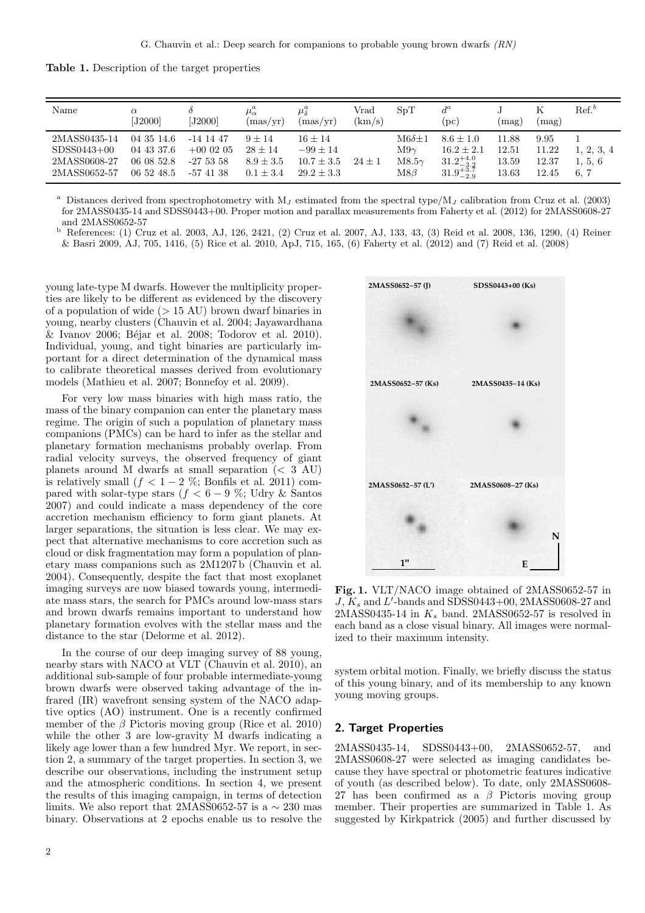Table 1. Description of the target properties

| Name                                                          | $\alpha$<br>[J2000]                                  | [J2000]                                              | $({\rm mas}/{\rm yr})$                                  | $\mu_s^a$<br>(max/vr)                                         | $_{\rm Vrad}$<br>(km/s) | SpT                                                     | $d^a$<br>(pc)                                                                   | (mag)                            | (mag)                           | $\operatorname{Ref.}^b$       |
|---------------------------------------------------------------|------------------------------------------------------|------------------------------------------------------|---------------------------------------------------------|---------------------------------------------------------------|-------------------------|---------------------------------------------------------|---------------------------------------------------------------------------------|----------------------------------|---------------------------------|-------------------------------|
| 2MASS0435-14<br>$SDSS0443+00$<br>2MASS0608-27<br>2MASS0652-57 | 04 35 14.6<br>04 43 37.6<br>06 08 52.8<br>06 52 48.5 | $-14$ 14 47<br>$+000205$<br>$-275358$<br>$-57$ 41 38 | $9 + 14$<br>$28 + 14$<br>$8.9 \pm 3.5$<br>$0.1 \pm 3.4$ | $16 + 14$<br>$-99 \pm 14$<br>$10.7 \pm 3.5$<br>$29.2 \pm 3.3$ | $24 + 1$                | $M6\delta+1$<br>$M9\gamma$<br>$M8.5\gamma$<br>$M8\beta$ | $8.6 \pm 1.0$<br>$16.2 \pm 2.1$<br>$31.2^{+4.0}_{-3.2}$<br>$31.9^{+3.7}_{-2.9}$ | 11.88<br>12.51<br>13.59<br>13.63 | 9.95<br>11.22<br>12.37<br>12.45 | 1, 2, 3, 4<br>1, 5, 6<br>6, 7 |

<sup>a</sup> Distances derived from spectrophotometry with  $M_J$  estimated from the spectral type/M<sub>J</sub> calibration from Cruz et al. (2003) for 2MASS0435-14 and SDSS0443+00. Proper motion and parallax measurements from Faherty et al. (2012) for 2MASS0608-27 and 2MASS0652-57

<sup>b</sup> References: (1) Cruz et al. 2003, AJ, 126, 2421, (2) Cruz et al. 2007, AJ, 133, 43, (3) Reid et al. 2008, 136, 1290, (4) Reiner & Basri 2009, AJ, 705, 1416, (5) Rice et al. 2010, ApJ, 715, 165, (6) Faherty et al. (2012) and (7) Reid et al. (2008)

young late-type M dwarfs. However the multiplicity properties are likely to be different as evidenced by the discovery of a population of wide  $(> 15 \text{ AU})$  brown dwarf binaries in young, nearby clusters (Chauvin et al. 2004; Jayawardhana & Ivanov 2006; Béjar et al. 2008; Todorov et al. 2010). Individual, young, and tight binaries are particularly important for a direct determination of the dynamical mass to calibrate theoretical masses derived from evolutionary models (Mathieu et al. 2007; Bonnefoy et al. 2009).

For very low mass binaries with high mass ratio, the mass of the binary companion can enter the planetary mass regime. The origin of such a population of planetary mass companions (PMCs) can be hard to infer as the stellar and planetary formation mechanisms probably overlap. From radial velocity surveys, the observed frequency of giant planets around M dwarfs at small separation  $(< 3$  AU) is relatively small  $(f < 1-2\%$ ; Bonfils et al. 2011) compared with solar-type stars ( $f < 6 - 9$ %; Udry & Santos 2007) and could indicate a mass dependency of the core accretion mechanism efficiency to form giant planets. At larger separations, the situation is less clear. We may expect that alternative mechanisms to core accretion such as cloud or disk fragmentation may form a population of planetary mass companions such as 2M1207 b (Chauvin et al. 2004). Consequently, despite the fact that most exoplanet imaging surveys are now biased towards young, intermediate mass stars, the search for PMCs around low-mass stars and brown dwarfs remains important to understand how planetary formation evolves with the stellar mass and the distance to the star (Delorme et al. 2012).

In the course of our deep imaging survey of 88 young, nearby stars with NACO at VLT (Chauvin et al. 2010), an additional sub-sample of four probable intermediate-young brown dwarfs were observed taking advantage of the infrared (IR) wavefront sensing system of the NACO adaptive optics (AO) instrument. One is a recently confirmed member of the  $\beta$  Pictoris moving group (Rice et al. 2010) while the other 3 are low-gravity M dwarfs indicating a likely age lower than a few hundred Myr. We report, in section 2, a summary of the target properties. In section 3, we describe our observations, including the instrument setup and the atmospheric conditions. In section 4, we present the results of this imaging campaign, in terms of detection limits. We also report that 2MASS0652-57 is a  $\sim$  230 mas binary. Observations at 2 epochs enable us to resolve the



<span id="page-1-0"></span>Fig. 1. VLT/NACO image obtained of 2MASS0652-57 in  $J, K_s$  and  $L'$ -bands and SDSS0443+00, 2MASS0608-27 and 2MASS0435-14 in  $K_s$  band. 2MASS0652-57 is resolved in each band as a close visual binary. All images were normalized to their maximum intensity.

system orbital motion. Finally, we briefly discuss the status of this young binary, and of its membership to any known young moving groups.

### 2. Target Properties

2MASS0435-14, SDSS0443+00, 2MASS0652-57, and 2MASS0608-27 were selected as imaging candidates because they have spectral or photometric features indicative of youth (as described below). To date, only 2MASS0608- 27 has been confirmed as a  $\beta$  Pictoris moving group member. Their properties are summarized in Table 1. As suggested by Kirkpatrick (2005) and further discussed by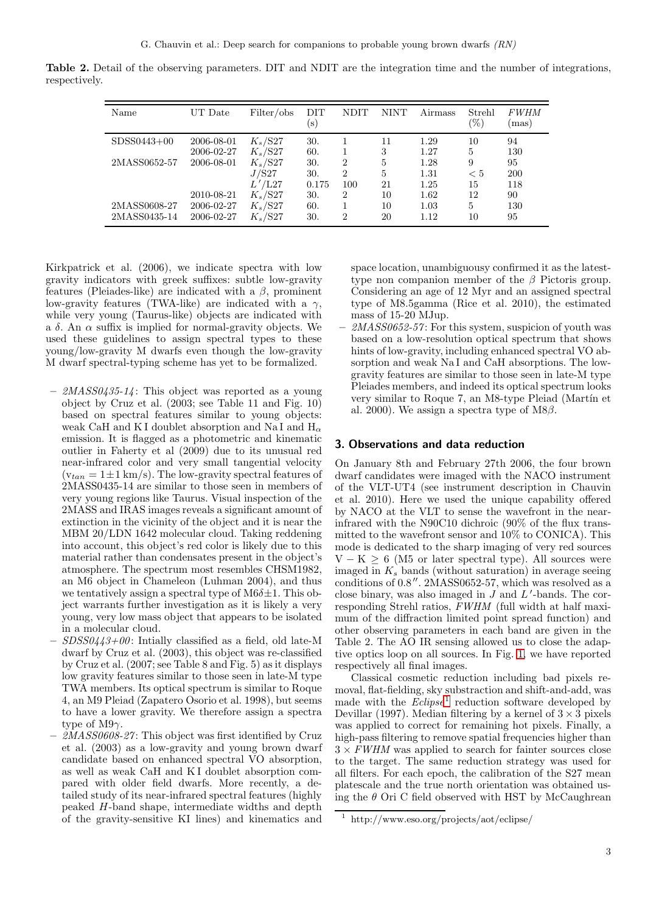Table 2. Detail of the observing parameters. DIT and NDIT are the integration time and the number of integrations, respectively.

| Name                         | UT Date                  | Filter/obs               | DIT<br>$(\rm s)$ | <b>NDIT</b>           | <b>NINT</b>          | Airmass      | Strehl<br>$(\%)$ | <i>FWHM</i><br>mas) |
|------------------------------|--------------------------|--------------------------|------------------|-----------------------|----------------------|--------------|------------------|---------------------|
| $SDSS0443+00$                | 2006-08-01<br>2006-02-27 | $K_s$ /S27<br>$K_s$ /S27 | 30.<br>60.       |                       | 11<br>3              | 1.29<br>1.27 | 10<br>5          | 94<br>130           |
| 2MASS0652-57                 | 2006-08-01               | $K_s$ /S27               | 30.              | $\overline{2}$        | $\overline{5}$       | 1.28         | 9                | 95                  |
|                              |                          | J/S27<br>/L27            | 30.<br>0.175     | $\overline{2}$<br>100 | $\overline{5}$<br>21 | 1.31<br>1.25 | $\rm < 5$<br>15  | 200<br>118          |
|                              | 2010-08-21               | $K_s$ /S27               | 30.              | $\overline{2}$        | 10                   | 1.62         | 12               | 90                  |
| 2MASS0608-27<br>2MASS0435-14 | 2006-02-27<br>2006-02-27 | $K_s$ /S27<br>$K_s$ /S27 | 60.<br>30.       | $\overline{2}$        | 10<br>20             | 1.03<br>1.12 | 5<br>10          | 130<br>95           |

Kirkpatrick et al. (2006), we indicate spectra with low gravity indicators with greek suffixes: subtle low-gravity features (Pleiades-like) are indicated with a  $\beta$ , prominent low-gravity features (TWA-like) are indicated with a  $\gamma$ , while very young (Taurus-like) objects are indicated with a  $\delta$ . An  $\alpha$  suffix is implied for normal-gravity objects. We used these guidelines to assign spectral types to these young/low-gravity M dwarfs even though the low-gravity M dwarf spectral-typing scheme has yet to be formalized.

- $-$  2MASS0435-14: This object was reported as a young object by Cruz et al. (2003; see Table 11 and Fig. 10) based on spectral features similar to young objects: weak CaH and KI doublet absorption and NaI and  $H_{\alpha}$ emission. It is flagged as a photometric and kinematic outlier in Faherty et al (2009) due to its unusual red near-infrared color and very small tangential velocity  $(v_{tan} = 1 \pm 1 \text{ km/s})$ . The low-gravity spectral features of 2MASS0435-14 are similar to those seen in members of very young regions like Taurus. Visual inspection of the 2MASS and IRAS images reveals a significant amount of extinction in the vicinity of the object and it is near the MBM 20/LDN 1642 molecular cloud. Taking reddening into account, this object's red color is likely due to this material rather than condensates present in the object's atmosphere. The spectrum most resembles CHSM1982, an M6 object in Chameleon (Luhman 2004), and thus we tentatively assign a spectral type of  $M6\delta \pm 1$ . This object warrants further investigation as it is likely a very young, very low mass object that appears to be isolated in a molecular cloud.
- $SDSS0443+00$ : Intially classified as a field, old late-M dwarf by Cruz et al. (2003), this object was re-classified by Cruz et al. (2007; see Table 8 and Fig. 5) as it displays low gravity features similar to those seen in late-M type TWA members. Its optical spectrum is similar to Roque 4, an M9 Pleiad (Zapatero Osorio et al. 1998), but seems to have a lower gravity. We therefore assign a spectra type of M9 $\gamma$ .
- 2MASS0608-27: This object was first identified by Cruz et al. (2003) as a low-gravity and young brown dwarf candidate based on enhanced spectral VO absorption, as well as weak CaH and K I doublet absorption compared with older field dwarfs. More recently, a detailed study of its near-infrared spectral features (highly peaked H-band shape, intermediate widths and depth of the gravity-sensitive KI lines) and kinematics and

space location, unambiguousy confirmed it as the latesttype non companion member of the  $\beta$  Pictoris group. Considering an age of 12 Myr and an assigned spectral type of M8.5gamma (Rice et al. 2010), the estimated mass of 15-20 MJup.

 $2MASS0652-57$ : For this system, suspicion of youth was based on a low-resolution optical spectrum that shows hints of low-gravity, including enhanced spectral VO absorption and weak Na I and CaH absorptions. The lowgravity features are similar to those seen in late-M type Pleiades members, and indeed its optical spectrum looks very similar to Roque 7, an M8-type Pleiad (Martín et al. 2000). We assign a spectra type of M8 $\beta$ .

#### 3. Observations and data reduction

On January 8th and February 27th 2006, the four brown dwarf candidates were imaged with the NACO instrument of the VLT-UT4 (see instrument description in Chauvin et al. 2010). Here we used the unique capability offered by NACO at the VLT to sense the wavefront in the nearinfrared with the N90C10 dichroic (90% of the flux transmitted to the wavefront sensor and 10% to CONICA). This mode is dedicated to the sharp imaging of very red sources  $V - K \geq 6$  (M5 or later spectral type). All sources were imaged in  $K_s$  bands (without saturation) in average seeing conditions of 0.8′′. 2MASS0652-57, which was resolved as a close binary, was also imaged in  $J$  and  $L'$ -bands. The corresponding Strehl ratios, FWHM (full width at half maximum of the diffraction limited point spread function) and other observing parameters in each band are given in the Table 2. The AO IR sensing allowed us to close the adaptive optics loop on all sources. In Fig. [1,](#page-1-0) we have reported respectively all final images.

Classical cosmetic reduction including bad pixels removal, flat-fielding, sky substraction and shift-and-add, was made with the  $Eclipse<sup>1</sup>$  $Eclipse<sup>1</sup>$  $Eclipse<sup>1</sup>$  reduction software developed by Devillar (1997). Median filtering by a kernel of  $3 \times 3$  pixels was applied to correct for remaining hot pixels. Finally, a high-pass filtering to remove spatial frequencies higher than  $3 \times FWHM$  was applied to search for fainter sources close to the target. The same reduction strategy was used for all filters. For each epoch, the calibration of the S27 mean platescale and the true north orientation was obtained using the  $\theta$  Ori C field observed with HST by McCaughrean

<span id="page-2-0"></span><sup>1</sup> http://www.eso.org/projects/aot/eclipse/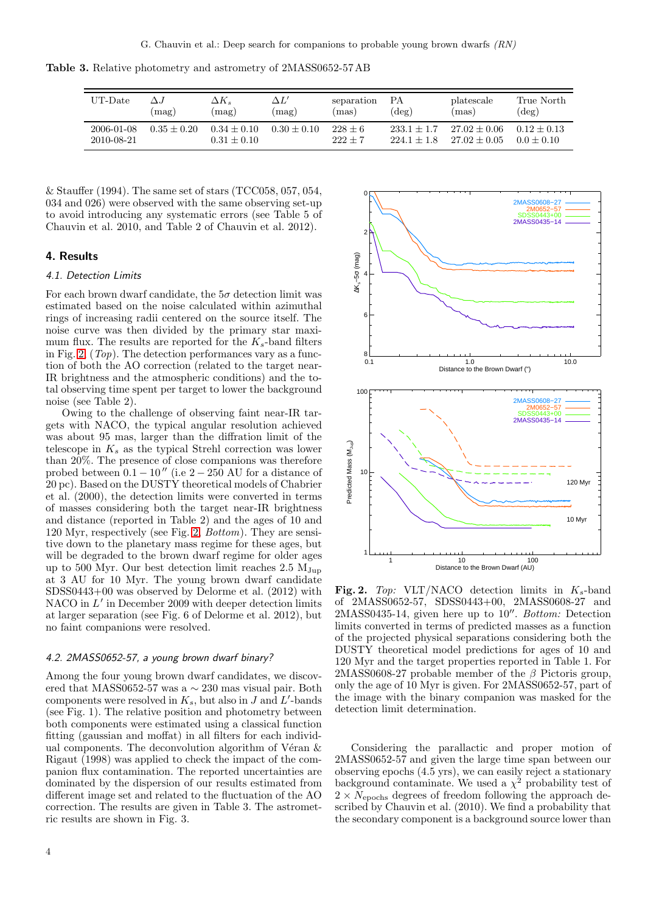Table 3. Relative photometry and astrometry of 2MASS0652-57 AB

| UT-Date                  | $\Delta$ .J   | $\Delta K_s$                   | $\Delta L'$                | separation             | ΡА                             | platescale                       | True North                      |
|--------------------------|---------------|--------------------------------|----------------------------|------------------------|--------------------------------|----------------------------------|---------------------------------|
|                          | (mag)         | $\text{mag}$                   | $\lceil \text{mag} \rceil$ | (mas)                  | $(\text{deg})$                 | (mas)                            | $(\text{deg})$                  |
| 2006-01-08<br>2010-08-21 | $0.35 + 0.20$ | $0.34 + 0.10$<br>$0.31 + 0.10$ | $0.30 + 0.10$              | $228 + 6$<br>$222 + 7$ | $233.1 + 1.7$<br>$224.1 + 1.8$ | $27.02 + 0.06$<br>$27.02 + 0.05$ | $0.12 \pm 0.13$<br>$0.0 + 0.10$ |

& Stauffer (1994). The same set of stars (TCC058, 057, 054, 034 and 026) were observed with the same observing set-up to avoid introducing any systematic errors (see Table 5 of Chauvin et al. 2010, and Table 2 of Chauvin et al. 2012).

### 4. Results

#### 4.1. Detection Limits

For each brown dwarf candidate, the  $5\sigma$  detection limit was estimated based on the noise calculated within azimuthal rings of increasing radii centered on the source itself. The noise curve was then divided by the primary star maximum flux. The results are reported for the  $K_s$ -band filters in Fig.  $2$ ,  $(Top)$ . The detection performances vary as a function of both the AO correction (related to the target near-IR brightness and the atmospheric conditions) and the total observing time spent per target to lower the background noise (see Table 2).

Owing to the challenge of observing faint near-IR targets with NACO, the typical angular resolution achieved was about 95 mas, larger than the diffration limit of the telescope in  $K_s$  as the typical Strehl correction was lower than 20%. The presence of close companions was therefore probed between  $0.1 - 10''$  (i.e  $2 - 250$  AU for a distance of 20 pc). Based on the DUSTY theoretical models of Chabrier et al. (2000), the detection limits were converted in terms of masses considering both the target near-IR brightness and distance (reported in Table 2) and the ages of 10 and 120 Myr, respectively (see Fig. [2,](#page-3-0) Bottom). They are sensitive down to the planetary mass regime for these ages, but will be degraded to the brown dwarf regime for older ages up to 500 Myr. Our best detection limit reaches  $2.5 M_{Jup}$ at 3 AU for 10 Myr. The young brown dwarf candidate SDSS0443+00 was observed by Delorme et al. (2012) with NACO in L' in December 2009 with deeper detection limits at larger separation (see Fig. 6 of Delorme et al. 2012), but no faint companions were resolved.

#### 4.2. 2MASS0652-57, a young brown dwarf binary?

Among the four young brown dwarf candidates, we discovered that MASS0652-57 was a ∼ 230 mas visual pair. Both components were resolved in  $K_s$ , but also in J and L'-bands (see Fig. 1). The relative position and photometry between both components were estimated using a classical function fitting (gaussian and moffat) in all filters for each individual components. The deconvolution algorithm of Véran  $\&$ Rigaut (1998) was applied to check the impact of the companion flux contamination. The reported uncertainties are dominated by the dispersion of our results estimated from different image set and related to the fluctuation of the AO correction. The results are given in Table 3. The astrometric results are shown in Fig. 3.



<span id="page-3-0"></span>Fig. 2. Top: VLT/NACO detection limits in  $K_s$ -band of 2MASS0652-57, SDSS0443+00, 2MASS0608-27 and 2MASS0435-14, given here up to 10′′ . Bottom: Detection limits converted in terms of predicted masses as a function of the projected physical separations considering both the DUSTY theoretical model predictions for ages of 10 and 120 Myr and the target properties reported in Table 1. For 2MASS0608-27 probable member of the  $\beta$  Pictoris group, only the age of 10 Myr is given. For 2MASS0652-57, part of the image with the binary companion was masked for the detection limit determination.

Considering the parallactic and proper motion of 2MASS0652-57 and given the large time span between our observing epochs (4.5 yrs), we can easily reject a stationary background contaminate. We used a  $\chi^2$  probability test of  $2 \times N_{\text{epochs}}$  degrees of freedom following the approach described by Chauvin et al. (2010). We find a probability that the secondary component is a background source lower than